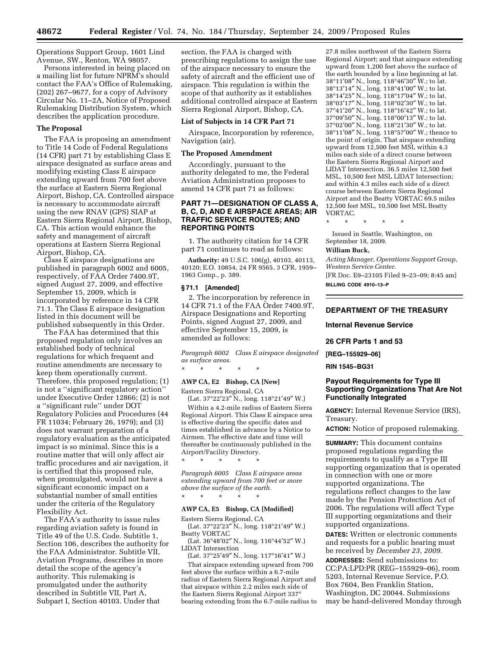Operations Support Group, 1601 Lind Avenue, SW., Renton, WA 98057.

Persons interested in being placed on a mailing list for future NPRM's should contact the FAA's Office of Rulemaking, (202) 267–9677, for a copy of Advisory Circular No. 11–2A, Notice of Proposed Rulemaking Distribution System, which describes the application procedure.

## **The Proposal**

The FAA is proposing an amendment to Title 14 Code of Federal Regulations (14 CFR) part 71 by establishing Class E airspace designated as surface areas and modifying existing Class E airspace extending upward from 700 feet above the surface at Eastern Sierra Regional Airport, Bishop, CA. Controlled airspace is necessary to accommodate aircraft using the new RNAV (GPS) SIAP at Eastern Sierra Regional Airport, Bishop, CA. This action would enhance the safety and management of aircraft operations at Eastern Sierra Regional Airport, Bishop, CA.

Class E airspace designations are published in paragraph 6002 and 6005, respectively, of FAA Order 7400.9T, signed August 27, 2009, and effective September 15, 2009, which is incorporated by reference in 14 CFR 71.1. The Class E airspace designation listed in this document will be published subsequently in this Order.

The FAA has determined that this proposed regulation only involves an established body of technical regulations for which frequent and routine amendments are necessary to keep them operationally current. Therefore, this proposed regulation; (1) is not a ''significant regulatory action'' under Executive Order 12866; (2) is not a ''significant rule'' under DOT Regulatory Policies and Procedures (44 FR 11034; February 26, 1979); and (3) does not warrant preparation of a regulatory evaluation as the anticipated impact is so minimal. Since this is a routine matter that will only affect air traffic procedures and air navigation, it is certified that this proposed rule, when promulgated, would not have a significant economic impact on a substantial number of small entities under the criteria of the Regulatory Flexibility Act.

The FAA's authority to issue rules regarding aviation safety is found in Title 49 of the U.S. Code. Subtitle 1, Section 106, describes the authority for the FAA Administrator. Subtitle VII, Aviation Programs, describes in more detail the scope of the agency's authority. This rulemaking is promulgated under the authority described in Subtitle VII, Part A, Subpart I, Section 40103. Under that

section, the FAA is charged with prescribing regulations to assign the use of the airspace necessary to ensure the safety of aircraft and the efficient use of airspace. This regulation is within the scope of that authority as it establishes additional controlled airspace at Eastern Sierra Regional Airport, Bishop, CA.

#### **List of Subjects in 14 CFR Part 71**

Airspace, Incorporation by reference, Navigation (air).

### **The Proposed Amendment**

Accordingly, pursuant to the authority delegated to me, the Federal Aviation Administration proposes to amend 14 CFR part 71 as follows:

## **PART 71—DESIGNATION OF CLASS A, B, C, D, AND E AIRSPACE AREAS; AIR TRAFFIC SERVICE ROUTES; AND REPORTING POINTS**

1. The authority citation for 14 CFR part 71 continues to read as follows:

**Authority:** 49 U.S.C. 106(g), 40103, 40113, 40120; E.O. 10854, 24 FR 9565, 3 CFR, 1959– 1963 Comp., p. 389.

#### **§ 71.1 [Amended]**

2. The incorporation by reference in 14 CFR 71.1 of the FAA Order 7400.9T, Airspace Designations and Reporting Points, signed August 27, 2009, and effective September 15, 2009, is amended as follows:

*Paragraph 6002 Class E airspace designated as surface areas.* 

\* \* \* \* \*

# **AWP CA, E2 Bishop, CA [New]**

Eastern Sierra Regional, CA

(Lat. 37°22′23″ N., long. 118°21′49″ W.) Within a 4.2-mile radius of Eastern Sierra Regional Airport. This Class E airspace area is effective during the specific dates and times established in advance by a Notice to Airmen. The effective date and time will thereafter be continuously published in the Airport/Facility Directory.

*Paragraph 6005 Class E airspace areas extending upward from 700 feet or more above the surface of the earth.* 

\* \* \* \* \*

\* \* \* \* \*

## **AWP CA, E5 Bishop, CA [Modified]**

Eastern Sierra Regional, CA (Lat. 37°22′23″ N., long. 118°21′49″ W.)

Beatty VORTAC

(Lat. 36°48′02″ N., long. 116°44′52″ W.) LIDAT Intersection

(Lat. 37°25′49″ N., long. 117°16′41″ W.) That airspace extending upward from 700 feet above the surface within a 6.7-mile radius of Eastern Sierra Regional Airport and that airspace within 2.2 miles each side of the Eastern Sierra Regional Airport 337° bearing extending from the 6.7-mile radius to

27.8 miles northwest of the Eastern Sierra Regional Airport; and that airspace extending upward from 1,200 feet above the surface of the earth bounded by a line beginning at lat. 38°11′08″ N., long. 118°46′30″ W.; to lat. 38°13′14″ N., long. 118°41′00″ W.; to lat. 38°14′25″ N., long. 118°17′04″ W.; to lat. 38°03′17″ N., long. 118°02′30″ W.; to lat. 37°41′20″ N., long. 118°16′42″ W.; to lat. 37°09′50″ N., long. 118°00′13″ W.; to lat. 37°02′00″ N., long. 118°21′30″ W.; to lat. 38°11′08″ N., long. 118°57′00″ W.; thence to the point of origin. That airspace extending upward from 12,500 feet MSL within 4.3 miles each side of a direct course between the Eastern Sierra Regional Airport and LIDAT Intersection, 36.5 miles 12,500 feet MSL, 10,500 feet MSL LIDAT Intersection; and within 4.3 miles each side of a direct course between Eastern Sierra Regional Airport and the Beatty VORTAC 69.5 miles 12,500 feet MSL, 10,500 feet MSL Beatty VORTAC.

\* \* \* \* \*

Issued in Seattle, Washington, on September 18, 2009.

#### **William Buck,**

*Acting Manager, Operations Support Group, Western Service Center.*  [FR Doc. E9–23105 Filed 9–23–09; 8:45 am]

**BILLING CODE 4910–13–P** 

# **DEPARTMENT OF THE TREASURY**

**Internal Revenue Service** 

**26 CFR Parts 1 and 53** 

**[REG–155929–06]** 

**RIN 1545–BG31** 

# **Payout Requirements for Type III Supporting Organizations That Are Not Functionally Integrated**

**AGENCY:** Internal Revenue Service (IRS), Treasury.

**ACTION:** Notice of proposed rulemaking.

**SUMMARY:** This document contains proposed regulations regarding the requirements to qualify as a Type III supporting organization that is operated in connection with one or more supported organizations. The regulations reflect changes to the law made by the Pension Protection Act of 2006. The regulations will affect Type III supporting organizations and their supported organizations.

**DATES:** Written or electronic comments and requests for a public hearing must be received by *December 23, 2009.* 

**ADDRESSES:** Send submissions to: CC:PA:LPD:PR (REG–155929–06), room 5203, Internal Revenue Service, P.O. Box 7604, Ben Franklin Station, Washington, DC 20044. Submissions may be hand-delivered Monday through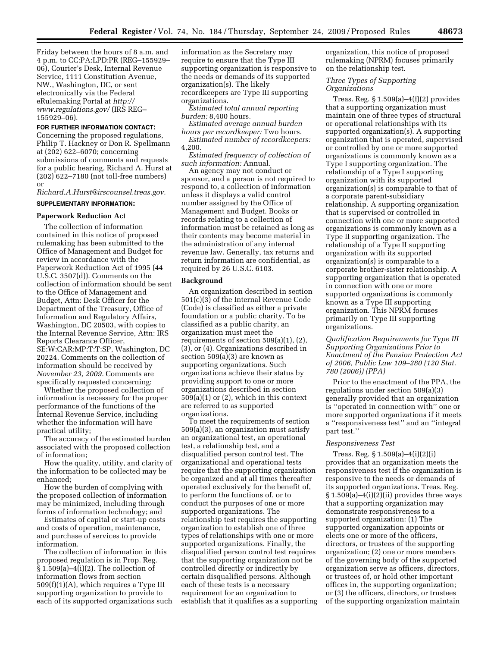Friday between the hours of 8 a.m. and 4 p.m. to CC:PA:LPD:PR (REG–155929– 06), Courier's Desk, Internal Revenue Service, 1111 Constitution Avenue, NW., Washington, DC, or sent electronically via the Federal eRulemaking Portal at *http:// www.regulations.gov/* (IRS REG– 155929–06).

### **FOR FURTHER INFORMATION CONTACT:**

Concerning the proposed regulations, Philip T. Hackney or Don R. Spellmann at (202) 622–6070; concerning submissions of comments and requests for a public hearing, Richard A. Hurst at (202) 622–7180 (not toll-free numbers) or

*Richard.A.Hurst@irscounsel.treas.gov.* 

## **SUPPLEMENTARY INFORMATION:**

### **Paperwork Reduction Act**

The collection of information contained in this notice of proposed rulemaking has been submitted to the Office of Management and Budget for review in accordance with the Paperwork Reduction Act of 1995 (44 U.S.C. 3507(d)). Comments on the collection of information should be sent to the Office of Management and Budget, Attn: Desk Officer for the Department of the Treasury, Office of Information and Regulatory Affairs, Washington, DC 20503, with copies to the Internal Revenue Service, Attn: IRS Reports Clearance Officer, SE:W:CAR:MP:T:T:SP, Washington, DC 20224. Comments on the collection of information should be received by *November 23, 2009.* Comments are specifically requested concerning:

Whether the proposed collection of information is necessary for the proper performance of the functions of the Internal Revenue Service, including whether the information will have practical utility;

The accuracy of the estimated burden associated with the proposed collection of information;

How the quality, utility, and clarity of the information to be collected may be enhanced;

How the burden of complying with the proposed collection of information may be minimized, including through forms of information technology; and

Estimates of capital or start-up costs and costs of operation, maintenance, and purchase of services to provide information.

The collection of information in this proposed regulation is in Prop. Reg. § 1.509(a)–4(i)(2). The collection of information flows from section 509(f)(1)(A), which requires a Type III supporting organization to provide to each of its supported organizations such information as the Secretary may require to ensure that the Type III supporting organization is responsive to the needs or demands of its supported organization(s). The likely recordkeepers are Type III supporting organizations.

*Estimated total annual reporting burden:* 8,400 hours.

*Estimated average annual burden hours per recordkeeper:* Two hours.

*Estimated number of recordkeepers:*  4,200.

*Estimated frequency of collection of such information:* Annual.

An agency may not conduct or sponsor, and a person is not required to respond to, a collection of information unless it displays a valid control number assigned by the Office of Management and Budget. Books or records relating to a collection of information must be retained as long as their contents may become material in the administration of any internal revenue law. Generally, tax returns and return information are confidential, as required by 26 U.S.C. 6103.

#### **Background**

An organization described in section 501(c)(3) of the Internal Revenue Code (Code) is classified as either a private foundation or a public charity. To be classified as a public charity, an organization must meet the requirements of section 509(a)(1), (2), (3), or (4). Organizations described in section 509(a)(3) are known as supporting organizations. Such organizations achieve their status by providing support to one or more organizations described in section 509(a)(1) or (2), which in this context are referred to as supported organizations.

To meet the requirements of section 509(a)(3), an organization must satisfy an organizational test, an operational test, a relationship test, and a disqualified person control test. The organizational and operational tests require that the supporting organization be organized and at all times thereafter operated exclusively for the benefit of, to perform the functions of, or to conduct the purposes of one or more supported organizations. The relationship test requires the supporting organization to establish one of three types of relationships with one or more supported organizations. Finally, the disqualified person control test requires that the supporting organization not be controlled directly or indirectly by certain disqualified persons. Although each of these tests is a necessary requirement for an organization to establish that it qualifies as a supporting

organization, this notice of proposed rulemaking (NPRM) focuses primarily on the relationship test.

# *Three Types of Supporting Organizations*

Treas. Reg. § 1.509(a)–4(f)(2) provides that a supporting organization must maintain one of three types of structural or operational relationships with its supported organization(s). A supporting organization that is operated, supervised or controlled by one or more supported organizations is commonly known as a Type I supporting organization. The relationship of a Type I supporting organization with its supported organization(s) is comparable to that of a corporate parent-subsidiary relationship. A supporting organization that is supervised or controlled in connection with one or more supported organizations is commonly known as a Type II supporting organization. The relationship of a Type II supporting organization with its supported organization(s) is comparable to a corporate brother-sister relationship. A supporting organization that is operated in connection with one or more supported organizations is commonly known as a Type III supporting organization. This NPRM focuses primarily on Type III supporting organizations.

*Qualification Requirements for Type III Supporting Organizations Prior to Enactment of the Pension Protection Act of 2006, Public Law 109–280 (120 Stat. 780 (2006)) (PPA)* 

Prior to the enactment of the PPA, the regulations under section 509(a)(3) generally provided that an organization is ''operated in connection with'' one or more supported organizations if it meets a ''responsiveness test'' and an ''integral part test.''

### *Responsiveness Test*

Treas. Reg. § 1.509(a)–4(i)(2)(i) provides that an organization meets the responsiveness test if the organization is responsive to the needs or demands of its supported organizations. Treas. Reg. § 1.509(a)–4(i)(2)(ii) provides three ways that a supporting organization may demonstrate responsiveness to a supported organization: (1) The supported organization appoints or elects one or more of the officers, directors, or trustees of the supporting organization; (2) one or more members of the governing body of the supported organization serve as officers, directors, or trustees of, or hold other important offices in, the supporting organization; or (3) the officers, directors, or trustees of the supporting organization maintain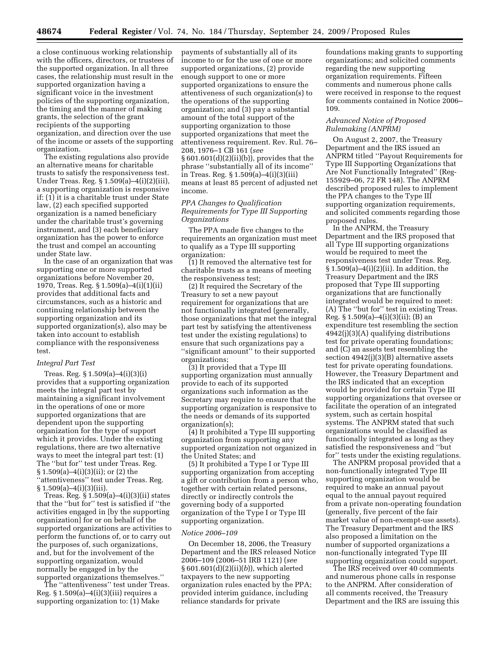a close continuous working relationship with the officers, directors, or trustees of the supported organization. In all three cases, the relationship must result in the supported organization having a significant voice in the investment policies of the supporting organization, the timing and the manner of making grants, the selection of the grant recipients of the supporting organization, and direction over the use of the income or assets of the supporting organization.

The existing regulations also provide an alternative means for charitable trusts to satisfy the responsiveness test. Under Treas. Reg. § 1.509(a)–4(i)(2)(iii), a supporting organization is responsive if: (1) it is a charitable trust under State law, (2) each specified supported organization is a named beneficiary under the charitable trust's governing instrument, and (3) each beneficiary organization has the power to enforce the trust and compel an accounting under State law.

In the case of an organization that was supporting one or more supported organizations before November 20, 1970, Treas. Reg. § 1.509(a)–4(i)(1)(ii) provides that additional facts and circumstances, such as a historic and continuing relationship between the supporting organization and its supported organization(s), also may be taken into account to establish compliance with the responsiveness test.

#### *Integral Part Test*

Treas. Reg. § 1.509(a)–4(i)(3)(i) provides that a supporting organization meets the integral part test by maintaining a significant involvement in the operations of one or more supported organizations that are dependent upon the supporting organization for the type of support which it provides. Under the existing regulations, there are two alternative ways to meet the integral part test: (1) The ''but for'' test under Treas. Reg. § 1.509(a)–4(i)(3)(ii); or (2) the ''attentiveness'' test under Treas. Reg.  $§ 1.509(a) - 4(i)(3)(iii)$ .

Treas. Reg. § 1.509(a)–4(i)(3)(ii) states that the ''but for'' test is satisfied if ''the activities engaged in [by the supporting organization] for or on behalf of the supported organizations are activities to perform the functions of, or to carry out the purposes of, such organizations, and, but for the involvement of the supporting organization, would normally be engaged in by the supported organizations themselves.''

The ''attentiveness'' test under Treas. Reg. § 1.509(a)–4(i)(3)(iii) requires a supporting organization to: (1) Make

payments of substantially all of its income to or for the use of one or more supported organizations, (2) provide enough support to one or more supported organizations to ensure the attentiveness of such organization(s) to the operations of the supporting organization; and (3) pay a substantial amount of the total support of the supporting organization to those supported organizations that meet the attentiveness requirement. Rev. Rul. 76– 208, 1976–1 CB 161 (*see*  § 601.601(d)(2)(ii)(b)), provides that the phrase ''substantially all of its income'' in Treas. Reg. § 1.509(a)–4(i)(3)(iii) means at least 85 percent of adjusted net income.

## *PPA Changes to Qualification Requirements for Type III Supporting Organizations*

The PPA made five changes to the requirements an organization must meet to qualify as a Type III supporting organization:

(1) It removed the alternative test for charitable trusts as a means of meeting the responsiveness test;

(2) It required the Secretary of the Treasury to set a new payout requirement for organizations that are not functionally integrated (generally, those organizations that met the integral part test by satisfying the attentiveness test under the existing regulations) to ensure that such organizations pay a ''significant amount'' to their supported organizations;

(3) It provided that a Type III supporting organization must annually provide to each of its supported organizations such information as the Secretary may require to ensure that the supporting organization is responsive to the needs or demands of its supported organization(s);

(4) It prohibited a Type III supporting organization from supporting any supported organization not organized in the United States; and

(5) It prohibited a Type I or Type III supporting organization from accepting a gift or contribution from a person who, together with certain related persons, directly or indirectly controls the governing body of a supported organization of the Type I or Type III supporting organization.

#### *Notice 2006–109*

On December 18, 2006, the Treasury Department and the IRS released Notice 2006–109 (2006–51 IRB 1121) (*see*  § 601.601(d)(2)(ii)(*b*)), which alerted taxpayers to the new supporting organization rules enacted by the PPA; provided interim guidance, including reliance standards for private

foundations making grants to supporting organizations; and solicited comments regarding the new supporting organization requirements. Fifteen comments and numerous phone calls were received in response to the request for comments contained in Notice 2006– 109.

# *Advanced Notice of Proposed Rulemaking (ANPRM)*

On August 2, 2007, the Treasury Department and the IRS issued an ANPRM titled ''Payout Requirements for Type III Supporting Organizations that Are Not Functionally Integrated'' (Reg-155929–06, 72 FR 148). The ANPRM described proposed rules to implement the PPA changes to the Type III supporting organization requirements, and solicited comments regarding those proposed rules.

In the ANPRM, the Treasury Department and the IRS proposed that all Type III supporting organizations would be required to meet the responsiveness test under Treas. Reg. § 1.509(a)–4(i)(2)(ii). In addition, the Treasury Department and the IRS proposed that Type III supporting organizations that are functionally integrated would be required to meet: (A) The ''but for'' test in existing Treas. Reg. § 1.509(a)–4(i)(3)(ii); (B) an expenditure test resembling the section 4942(j)(3)(A) qualifying distributions test for private operating foundations; and (C) an assets test resembling the section 4942(j)(3)(B) alternative assets test for private operating foundations. However, the Treasury Department and the IRS indicated that an exception would be provided for certain Type III supporting organizations that oversee or facilitate the operation of an integrated system, such as certain hospital systems. The ANPRM stated that such organizations would be classified as functionally integrated as long as they satisfied the responsiveness and ''but for'' tests under the existing regulations.

The ANPRM proposal provided that a non-functionally integrated Type III supporting organization would be required to make an annual payout equal to the annual payout required from a private non-operating foundation (generally, five percent of the fair market value of non-exempt-use assets). The Treasury Department and the IRS also proposed a limitation on the number of supported organizations a non-functionally integrated Type III supporting organization could support.

The IRS received over 40 comments and numerous phone calls in response to the ANPRM. After consideration of all comments received, the Treasury Department and the IRS are issuing this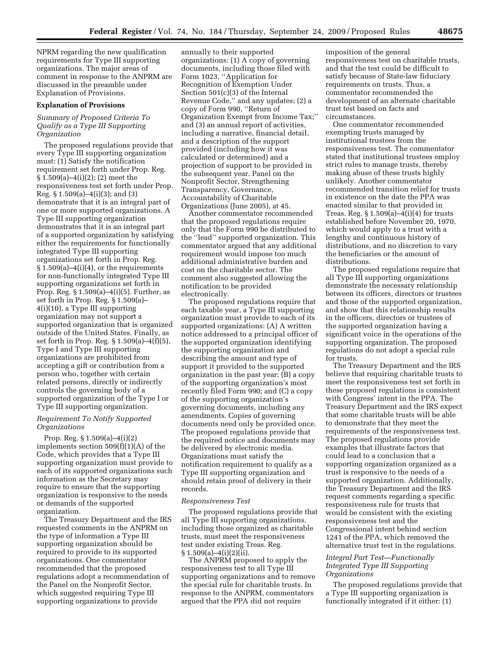NPRM regarding the new qualification requirements for Type III supporting organizations. The major areas of comment in response to the ANPRM are discussed in the preamble under Explanation of Provisions.

### **Explanation of Provisions**

# *Summary of Proposed Criteria To Qualify as a Type III Supporting Organization*

The proposed regulations provide that every Type III supporting organization must: (1) Satisfy the notification requirement set forth under Prop. Reg. § 1.509(a)–4(i)(2); (2) meet the responsiveness test set forth under Prop. Reg. § 1.509(a)–4(i)(3); and (3) demonstrate that it is an integral part of one or more supported organizations. A Type III supporting organization demonstrates that it is an integral part of a supported organization by satisfying either the requirements for functionally integrated Type III supporting organizations set forth in Prop. Reg.  $§ 1.509(a) - 4(i)(4)$ , or the requirements for non-functionally integrated Type III supporting organizations set forth in Prop. Reg. § 1.509(a)–4(i)(5). Further, as set forth in Prop. Reg. § 1.509(a)– 4(i)(10), a Type III supporting organization may not support a supported organization that is organized outside of the United States. Finally, as set forth in Prop. Reg. § 1.509(a)–4(f)(5), Type I and Type III supporting organizations are prohibited from accepting a gift or contribution from a person who, together with certain related persons, directly or indirectly controls the governing body of a supported organization of the Type I or Type III supporting organization.

## *Requirement To Notify Supported Organizations*

Prop. Reg. § 1.509(a)–4(i)(2) implements section 509(f)(1)(A) of the Code, which provides that a Type III supporting organization must provide to each of its supported organizations such information as the Secretary may require to ensure that the supporting organization is responsive to the needs or demands of the supported organization.

The Treasury Department and the IRS requested comments in the ANPRM on the type of information a Type III supporting organization should be required to provide to its supported organizations. One commentator recommended that the proposed regulations adopt a recommendation of the Panel on the Nonprofit Sector, which suggested requiring Type III supporting organizations to provide

annually to their supported organizations: (1) A copy of governing documents, including those filed with Form 1023, ''Application for Recognition of Exemption Under Section 501(c)(3) of the Internal Revenue Code,'' and any updates; (2) a copy of Form 990, ''Return of Organization Exempt from Income Tax;'' and (3) an annual report of activities, including a narrative, financial detail, and a description of the support provided (including how it was calculated or determined) and a projection of support to be provided in the subsequent year. Panel on the Nonprofit Sector, Strengthening Transparency, Governance, Accountability of Charitable Organizations (June 2005), at 45.

Another commentator recommended that the proposed regulations require only that the Form 990 be distributed to the ''lead'' supported organization. This commentator argued that any additional requirement would impose too much additional administrative burden and cost on the charitable sector. The comment also suggested allowing the notification to be provided electronically.

The proposed regulations require that each taxable year, a Type III supporting organization must provide to each of its supported organizations: (A) A written notice addressed to a principal officer of the supported organization identifying the supporting organization and describing the amount and type of support it provided to the supported organization in the past year; (B) a copy of the supporting organization's most recently filed Form 990; and (C) a copy of the supporting organization's governing documents, including any amendments. Copies of governing documents need only be provided once. The proposed regulations provide that the required notice and documents may be delivered by electronic media. Organizations must satisfy the notification requirement to qualify as a Type III supporting organization and should retain proof of delivery in their records.

#### *Responsiveness Test*

The proposed regulations provide that all Type III supporting organizations, including those organized as charitable trusts, must meet the responsiveness test under existing Treas. Reg.  $§ 1.509(a) - 4(i)(2)(ii).$ 

The ANPRM proposed to apply the responsiveness test to all Type III supporting organizations and to remove the special rule for charitable trusts. In response to the ANPRM, commentators argued that the PPA did not require

imposition of the general responsiveness test on charitable trusts, and that the test could be difficult to satisfy because of State-law fiduciary requirements on trusts. Thus, a commentator recommended the development of an alternate charitable trust test based on facts and circumstances.

One commentator recommended exempting trusts managed by institutional trustees from the responsiveness test. The commentator stated that institutional trustees employ strict rules to manage trusts, thereby making abuse of these trusts highly unlikely. Another commentator recommended transition relief for trusts in existence on the date the PPA was enacted similar to that provided in Treas. Reg.  $§ 1.509(a) - 4(i)(4)$  for trusts established before November 20, 1970, which would apply to a trust with a lengthy and continuous history of distributions, and no discretion to vary the beneficiaries or the amount of distributions.

The proposed regulations require that all Type III supporting organizations demonstrate the necessary relationship between its officers, directors or trustees and those of the supported organization, and show that this relationship results in the officers, directors or trustees of the supported organization having a significant voice in the operations of the supporting organization. The proposed regulations do not adopt a special rule for trusts.

The Treasury Department and the IRS believe that requiring charitable trusts to meet the responsiveness test set forth in these proposed regulations is consistent with Congress' intent in the PPA. The Treasury Department and the IRS expect that some charitable trusts will be able to demonstrate that they meet the requirements of the responsiveness test. The proposed regulations provide examples that illustrate factors that could lead to a conclusion that a supporting organization organized as a trust is responsive to the needs of a supported organization. Additionally, the Treasury Department and the IRS request comments regarding a specific responsiveness rule for trusts that would be consistent with the existing responsiveness test and the Congressional intent behind section 1241 of the PPA, which removed the alternative trust test in the regulations.

# *Integral Part Test—Functionally Integrated Type III Supporting Organizations*

The proposed regulations provide that a Type III supporting organization is functionally integrated if it either: (1)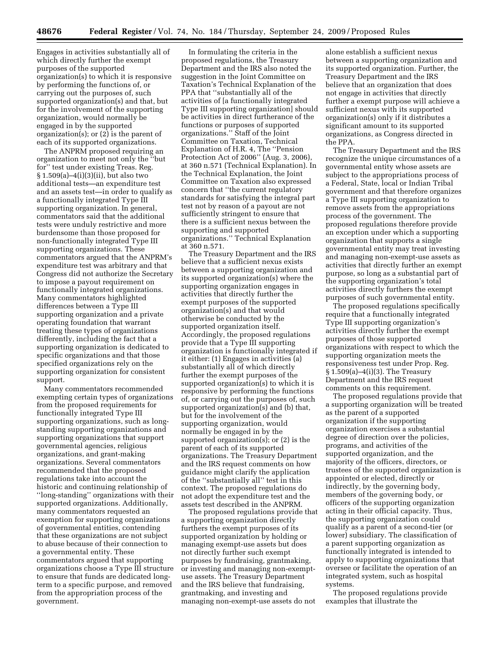Engages in activities substantially all of which directly further the exempt purposes of the supported organization(s) to which it is responsive by performing the functions of, or carrying out the purposes of, such supported organization(s) and that, but for the involvement of the supporting organization, would normally be engaged in by the supported organization(s); or  $(2)$  is the parent of each of its supported organizations.

The ANPRM proposed requiring an organization to meet not only the ''but for'' test under existing Treas. Reg. § 1.509(a)–4(i)(3)(ii), but also two additional tests—an expenditure test and an assets test—in order to qualify as a functionally integrated Type III supporting organization. In general, commentators said that the additional tests were unduly restrictive and more burdensome than those proposed for non-functionally integrated Type III supporting organizations. These commentators argued that the ANPRM's expenditure test was arbitrary and that Congress did not authorize the Secretary to impose a payout requirement on functionally integrated organizations. Many commentators highlighted differences between a Type III supporting organization and a private operating foundation that warrant treating these types of organizations differently, including the fact that a supporting organization is dedicated to specific organizations and that those specified organizations rely on the supporting organization for consistent support.

Many commentators recommended exempting certain types of organizations from the proposed requirements for functionally integrated Type III supporting organizations, such as longstanding supporting organizations and supporting organizations that support governmental agencies, religious organizations, and grant-making organizations. Several commentators recommended that the proposed regulations take into account the historic and continuing relationship of ''long-standing'' organizations with their supported organizations. Additionally, many commentators requested an exemption for supporting organizations of governmental entities, contending that these organizations are not subject to abuse because of their connection to a governmental entity. These commentators argued that supporting organizations choose a Type III structure to ensure that funds are dedicated longterm to a specific purpose, and removed from the appropriation process of the government.

In formulating the criteria in the proposed regulations, the Treasury Department and the IRS also noted the suggestion in the Joint Committee on Taxation's Technical Explanation of the PPA that ''substantially all of the activities of [a functionally integrated Type III supporting organization] should be activities in direct furtherance of the functions or purposes of supported organizations.'' Staff of the Joint Committee on Taxation, Technical Explanation of H.R. 4, The ''Pension Protection Act of 2006'' (Aug. 3, 2006), at 360 n.571 (Technical Explanation). In the Technical Explanation, the Joint Committee on Taxation also expressed concern that ''the current regulatory standards for satisfying the integral part test not by reason of a payout are not sufficiently stringent to ensure that there is a sufficient nexus between the supporting and supported organizations.'' Technical Explanation at 360 n.571.

The Treasury Department and the IRS believe that a sufficient nexus exists between a supporting organization and its supported organization(s) where the supporting organization engages in activities that directly further the exempt purposes of the supported organization(s) and that would otherwise be conducted by the supported organization itself. Accordingly, the proposed regulations provide that a Type III supporting organization is functionally integrated if it either: (1) Engages in activities (a) substantially all of which directly further the exempt purposes of the supported organization(s) to which it is responsive by performing the functions of, or carrying out the purposes of, such supported organization(s) and (b) that, but for the involvement of the supporting organization, would normally be engaged in by the supported organization(s); or (2) is the parent of each of its supported organizations. The Treasury Department and the IRS request comments on how guidance might clarify the application of the ''substantially all'' test in this context. The proposed regulations do not adopt the expenditure test and the assets test described in the ANPRM.

The proposed regulations provide that a supporting organization directly furthers the exempt purposes of its supported organization by holding or managing exempt-use assets but does not directly further such exempt purposes by fundraising, grantmaking, or investing and managing non-exemptuse assets. The Treasury Department and the IRS believe that fundraising, grantmaking, and investing and managing non-exempt-use assets do not

alone establish a sufficient nexus between a supporting organization and its supported organization. Further, the Treasury Department and the IRS believe that an organization that does not engage in activities that directly further a exempt purpose will achieve a sufficient nexus with its supported organization(s) only if it distributes a significant amount to its supported organizations, as Congress directed in the PPA.

The Treasury Department and the IRS recognize the unique circumstances of a governmental entity whose assets are subject to the appropriations process of a Federal, State, local or Indian Tribal government and that therefore organizes a Type III supporting organization to remove assets from the appropriations process of the government. The proposed regulations therefore provide an exception under which a supporting organization that supports a single governmental entity may treat investing and managing non-exempt-use assets as activities that directly further an exempt purpose, so long as a substantial part of the supporting organization's total activities directly furthers the exempt purposes of such governmental entity.

The proposed regulations specifically require that a functionally integrated Type III supporting organization's activities directly further the exempt purposes of those supported organizations with respect to which the supporting organization meets the responsiveness test under Prop. Reg. § 1.509(a)–4(i)(3). The Treasury Department and the IRS request comments on this requirement.

The proposed regulations provide that a supporting organization will be treated as the parent of a supported organization if the supporting organization exercises a substantial degree of direction over the policies, programs, and activities of the supported organization, and the majority of the officers, directors, or trustees of the supported organization is appointed or elected, directly or indirectly, by the governing body, members of the governing body, or officers of the supporting organization acting in their official capacity. Thus, the supporting organization could qualify as a parent of a second-tier (or lower) subsidiary. The classification of a parent supporting organization as functionally integrated is intended to apply to supporting organizations that oversee or facilitate the operation of an integrated system, such as hospital systems.

The proposed regulations provide examples that illustrate the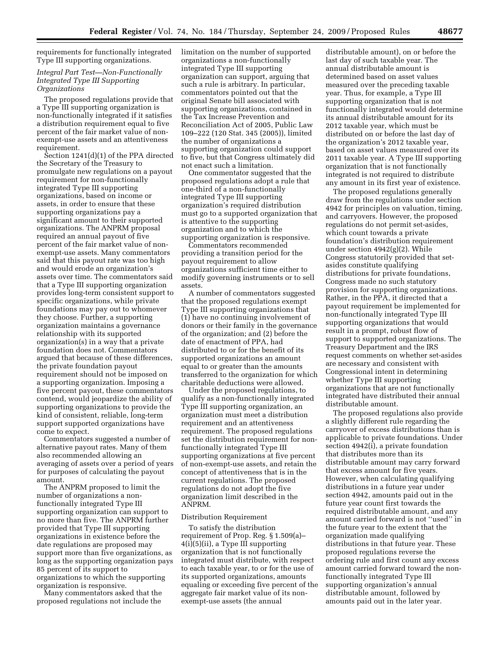requirements for functionally integrated Type III supporting organizations.

# *Integral Part Test—Non-Functionally Integrated Type III Supporting Organizations*

The proposed regulations provide that a Type III supporting organization is non-functionally integrated if it satisfies a distribution requirement equal to five percent of the fair market value of nonexempt-use assets and an attentiveness requirement.

Section 1241(d)(1) of the PPA directed the Secretary of the Treasury to promulgate new regulations on a payout requirement for non-functionally integrated Type III supporting organizations, based on income or assets, in order to ensure that these supporting organizations pay a significant amount to their supported organizations. The ANPRM proposal required an annual payout of five percent of the fair market value of nonexempt-use assets. Many commentators said that this payout rate was too high and would erode an organization's assets over time. The commentators said that a Type III supporting organization provides long-term consistent support to specific organizations, while private foundations may pay out to whomever they choose. Further, a supporting organization maintains a governance relationship with its supported organization(s) in a way that a private foundation does not. Commentators argued that because of these differences, the private foundation payout requirement should not be imposed on a supporting organization. Imposing a five percent payout, these commentators contend, would jeopardize the ability of supporting organizations to provide the kind of consistent, reliable, long-term support supported organizations have come to expect.

Commentators suggested a number of alternative payout rates. Many of them also recommended allowing an averaging of assets over a period of years for purposes of calculating the payout amount.

The ANPRM proposed to limit the number of organizations a nonfunctionally integrated Type III supporting organization can support to no more than five. The ANPRM further provided that Type III supporting organizations in existence before the date regulations are proposed may support more than five organizations, as long as the supporting organization pays 85 percent of its support to organizations to which the supporting organization is responsive.

Many commentators asked that the proposed regulations not include the

limitation on the number of supported organizations a non-functionally integrated Type III supporting organization can support, arguing that such a rule is arbitrary. In particular, commentators pointed out that the original Senate bill associated with supporting organizations, contained in the Tax Increase Prevention and Reconciliation Act of 2005, Public Law 109–222 (120 Stat. 345 (2005)), limited the number of organizations a supporting organization could support to five, but that Congress ultimately did not enact such a limitation.

One commentator suggested that the proposed regulations adopt a rule that one-third of a non-functionally integrated Type III supporting organization's required distribution must go to a supported organization that is attentive to the supporting organization and to which the supporting organization is responsive.

Commentators recommended providing a transition period for the payout requirement to allow organizations sufficient time either to modify governing instruments or to sell assets.

A number of commentators suggested that the proposed regulations exempt Type III supporting organizations that (1) have no continuing involvement of donors or their family in the governance of the organization; and (2) before the date of enactment of PPA, had distributed to or for the benefit of its supported organizations an amount equal to or greater than the amounts transferred to the organization for which charitable deductions were allowed.

Under the proposed regulations, to qualify as a non-functionally integrated Type III supporting organization, an organization must meet a distribution requirement and an attentiveness requirement. The proposed regulations set the distribution requirement for nonfunctionally integrated Type III supporting organizations at five percent of non-exempt-use assets, and retain the concept of attentiveness that is in the current regulations. The proposed regulations do not adopt the five organization limit described in the ANPRM.

### Distribution Requirement

To satisfy the distribution requirement of Prop. Reg. § 1.509(a)– 4(i)(5)(ii), a Type III supporting organization that is not functionally integrated must distribute, with respect to each taxable year, to or for the use of its supported organizations, amounts equaling or exceeding five percent of the aggregate fair market value of its nonexempt-use assets (the annual

distributable amount), on or before the last day of such taxable year. The annual distributable amount is determined based on asset values measured over the preceding taxable year. Thus, for example, a Type III supporting organization that is not functionally integrated would determine its annual distributable amount for its 2012 taxable year, which must be distributed on or before the last day of the organization's 2012 taxable year, based on asset values measured over its 2011 taxable year. A Type III supporting organization that is not functionally integrated is not required to distribute any amount in its first year of existence.

The proposed regulations generally draw from the regulations under section 4942 for principles on valuation, timing, and carryovers. However, the proposed regulations do not permit set-asides, which count towards a private foundation's distribution requirement under section 4942(g)(2). While Congress statutorily provided that setasides constitute qualifying distributions for private foundations, Congress made no such statutory provision for supporting organizations. Rather, in the PPA, it directed that a payout requirement be implemented for non-functionally integrated Type III supporting organizations that would result in a prompt, robust flow of support to supported organizations. The Treasury Department and the IRS request comments on whether set-asides are necessary and consistent with Congressional intent in determining whether Type III supporting organizations that are not functionally integrated have distributed their annual distributable amount.

The proposed regulations also provide a slightly different rule regarding the carryover of excess distributions than is applicable to private foundations. Under section 4942(i), a private foundation that distributes more than its distributable amount may carry forward that excess amount for five years. However, when calculating qualifying distributions in a future year under section 4942, amounts paid out in the future year count first towards the required distributable amount, and any amount carried forward is not ''used'' in the future year to the extent that the organization made qualifying distributions in that future year. These proposed regulations reverse the ordering rule and first count any excess amount carried forward toward the nonfunctionally integrated Type III supporting organization's annual distributable amount, followed by amounts paid out in the later year.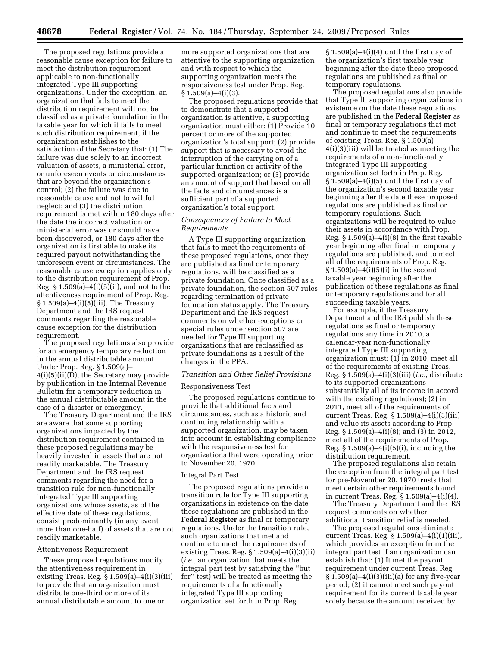The proposed regulations provide a reasonable cause exception for failure to meet the distribution requirement applicable to non-functionally integrated Type III supporting organizations. Under the exception, an organization that fails to meet the distribution requirement will not be classified as a private foundation in the taxable year for which it fails to meet such distribution requirement, if the organization establishes to the satisfaction of the Secretary that: (1) The failure was due solely to an incorrect valuation of assets, a ministerial error, or unforeseen events or circumstances that are beyond the organization's control; (2) the failure was due to reasonable cause and not to willful neglect; and (3) the distribution requirement is met within 180 days after the date the incorrect valuation or ministerial error was or should have been discovered, or 180 days after the organization is first able to make its required payout notwithstanding the unforeseen event or circumstances. The reasonable cause exception applies only to the distribution requirement of Prop. Reg.  $\S 1.509(a) - 4(i)(5)(ii)$ , and not to the attentiveness requirement of Prop. Reg. § 1.509(a)–4(i)(5)(iii). The Treasury Department and the IRS request comments regarding the reasonable cause exception for the distribution requirement.

The proposed regulations also provide for an emergency temporary reduction in the annual distributable amount. Under Prop. Reg. § 1.509(a)– 4(i)(5)(ii)(D), the Secretary may provide by publication in the Internal Revenue Bulletin for a temporary reduction in the annual distributable amount in the case of a disaster or emergency.

The Treasury Department and the IRS are aware that some supporting organizations impacted by the distribution requirement contained in these proposed regulations may be heavily invested in assets that are not readily marketable. The Treasury Department and the IRS request comments regarding the need for a transition rule for non-functionally integrated Type III supporting organizations whose assets, as of the effective date of these regulations, consist predominantly (in any event more than one-half) of assets that are not readily marketable.

#### Attentiveness Requirement

These proposed regulations modify the attentiveness requirement in existing Treas. Reg.  $\S 1.509(a) - 4(i)(3)(iii)$ to provide that an organization must distribute one-third or more of its annual distributable amount to one or

more supported organizations that are attentive to the supporting organization and with respect to which the supporting organization meets the responsiveness test under Prop. Reg.  $§ 1.509(a) - 4(i)(3).$ 

The proposed regulations provide that to demonstrate that a supported organization is attentive, a supporting organization must either: (1) Provide 10 percent or more of the supported organization's total support; (2) provide support that is necessary to avoid the interruption of the carrying on of a particular function or activity of the supported organization; or (3) provide an amount of support that based on all the facts and circumstances is a sufficient part of a supported organization's total support.

### *Consequences of Failure to Meet Requirements*

A Type III supporting organization that fails to meet the requirements of these proposed regulations, once they are published as final or temporary regulations, will be classified as a private foundation. Once classified as a private foundation, the section 507 rules regarding termination of private foundation status apply. The Treasury Department and the IRS request comments on whether exceptions or special rules under section 507 are needed for Type III supporting organizations that are reclassified as private foundations as a result of the changes in the PPA.

## *Transition and Other Relief Provisions*

#### Responsiveness Test

The proposed regulations continue to provide that additional facts and circumstances, such as a historic and continuing relationship with a supported organization, may be taken into account in establishing compliance with the responsiveness test for organizations that were operating prior to November 20, 1970.

#### Integral Part Test

The proposed regulations provide a transition rule for Type III supporting organizations in existence on the date these regulations are published in the **Federal Register** as final or temporary regulations. Under the transition rule, such organizations that met and continue to meet the requirements of existing Treas. Reg.  $§ 1.509(a) - 4(i)(3)(ii)$ (*i.e.*, an organization that meets the integral part test by satisfying the ''but for'' test) will be treated as meeting the requirements of a functionally integrated Type III supporting organization set forth in Prop. Reg.

 $§ 1.509(a) - 4(i)(4)$  until the first day of the organization's first taxable year beginning after the date these proposed regulations are published as final or temporary regulations.

The proposed regulations also provide that Type III supporting organizations in existence on the date these regulations are published in the **Federal Register** as final or temporary regulations that met and continue to meet the requirements of existing Treas. Reg. § 1.509(a)– 4(i)(3)(iii) will be treated as meeting the requirements of a non-functionally integrated Type III supporting organization set forth in Prop. Reg.  $§ 1.509(a) - 4(i)(5)$  until the first day of the organization's second taxable year beginning after the date these proposed regulations are published as final or temporary regulations. Such organizations will be required to value their assets in accordance with Prop. Reg.  $\S 1.509(a) - 4(i)(8)$  in the first taxable year beginning after final or temporary regulations are published, and to meet all of the requirements of Prop. Reg. § 1.509(a)–4(i)(5)(i) in the second taxable year beginning after the publication of these regulations as final or temporary regulations and for all succeeding taxable years.

For example, if the Treasury Department and the IRS publish these regulations as final or temporary regulations any time in 2010, a calendar-year non-functionally integrated Type III supporting organization must: (1) in 2010, meet all of the requirements of existing Treas. Reg. § 1.509(a)–4(i)(3)(iii) (*i.e.*, distribute to its supported organizations substantially all of its income in accord with the existing regulations); (2) in 2011, meet all of the requirements of current Treas. Reg. § 1.509(a)–4(i)(3)(iii) and value its assets according to Prop. Reg. § 1.509(a)–4(i)(8); and (3) in 2012, meet all of the requirements of Prop. Reg.  $§ 1.509(a) - 4(i)(5)(i)$ , including the distribution requirement.

The proposed regulations also retain the exception from the integral part test for pre-November 20, 1970 trusts that meet certain other requirements found in current Treas. Reg. § 1.509(a)–4(i)(4).

The Treasury Department and the IRS request comments on whether additional transition relief is needed.

The proposed regulations eliminate current Treas. Reg. § 1.509(a)–4(i)(1)(iii), which provides an exception from the integral part test if an organization can establish that: (1) It met the payout requirement under current Treas. Reg. § 1.509(a)–4(i)(3)(iii)(a) for any five-year period; (2) it cannot meet such payout requirement for its current taxable year solely because the amount received by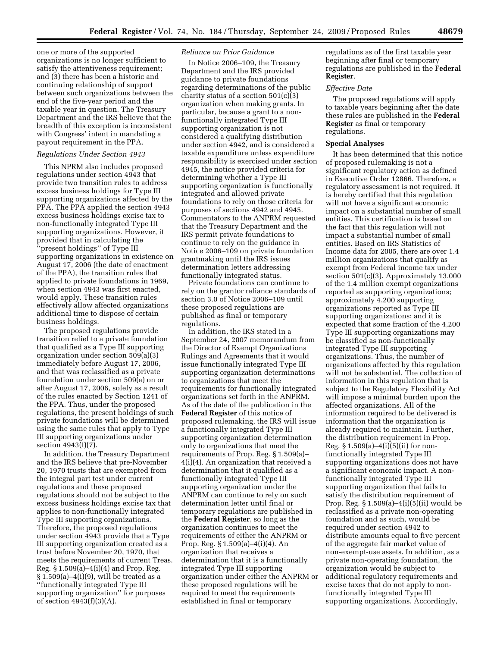one or more of the supported organizations is no longer sufficient to satisfy the attentiveness requirement; and (3) there has been a historic and continuing relationship of support between such organizations between the end of the five-year period and the taxable year in question. The Treasury Department and the IRS believe that the breadth of this exception is inconsistent with Congress' intent in mandating a payout requirement in the PPA.

#### *Regulations Under Section 4943*

This NPRM also includes proposed regulations under section 4943 that provide two transition rules to address excess business holdings for Type III supporting organizations affected by the PPA. The PPA applied the section 4943 excess business holdings excise tax to non-functionally integrated Type III supporting organizations. However, it provided that in calculating the ''present holdings'' of Type III supporting organizations in existence on August 17, 2006 (the date of enactment of the PPA), the transition rules that applied to private foundations in 1969, when section 4943 was first enacted, would apply. These transition rules effectively allow affected organizations additional time to dispose of certain business holdings.

The proposed regulations provide transition relief to a private foundation that qualified as a Type III supporting organization under section 509(a)(3) immediately before August 17, 2006, and that was reclassified as a private foundation under section 509(a) on or after August 17, 2006, solely as a result of the rules enacted by Section 1241 of the PPA. Thus, under the proposed regulations, the present holdings of such private foundations will be determined using the same rules that apply to Type III supporting organizations under section 4943(f)(7).

In addition, the Treasury Department and the IRS believe that pre-November 20, 1970 trusts that are exempted from the integral part test under current regulations and these proposed regulations should not be subject to the excess business holdings excise tax that applies to non-functionally integrated Type III supporting organizations. Therefore, the proposed regulations under section 4943 provide that a Type III supporting organization created as a trust before November 20, 1970, that meets the requirements of current Treas. Reg. § 1.509(a)–4(i)(4) and Prop. Reg.  $\S 1.509(a) - 4(i)(9)$ , will be treated as a ''functionally integrated Type III supporting organization'' for purposes of section 4943(f)(3)(A).

## *Reliance on Prior Guidance*

In Notice 2006–109, the Treasury Department and the IRS provided guidance to private foundations regarding determinations of the public charity status of a section 501(c)(3) organization when making grants. In particular, because a grant to a nonfunctionally integrated Type III supporting organization is not considered a qualifying distribution under section 4942, and is considered a taxable expenditure unless expenditure responsibility is exercised under section 4945, the notice provided criteria for determining whether a Type III supporting organization is functionally integrated and allowed private foundations to rely on those criteria for purposes of sections 4942 and 4945. Commentators to the ANPRM requested that the Treasury Department and the IRS permit private foundations to continue to rely on the guidance in Notice 2006–109 on private foundation grantmaking until the IRS issues determination letters addressing functionally integrated status.

Private foundations can continue to rely on the grantor reliance standards of section 3.0 of Notice 2006–109 until these proposed regulations are published as final or temporary regulations.

In addition, the IRS stated in a September 24, 2007 memorandum from the Director of Exempt Organizations Rulings and Agreements that it would issue functionally integrated Type III supporting organization determinations to organizations that meet the requirements for functionally integrated organizations set forth in the ANPRM. As of the date of the publication in the **Federal Register** of this notice of proposed rulemaking, the IRS will issue a functionally integrated Type III supporting organization determination only to organizations that meet the requirements of Prop. Reg. § 1.509(a)– 4(i)(4). An organization that received a determination that it qualified as a functionally integrated Type III supporting organization under the ANPRM can continue to rely on such determination letter until final or temporary regulations are published in the **Federal Register**, so long as the organization continues to meet the requirements of either the ANPRM or Prop. Reg. § 1.509(a)–4(i)(4). An organization that receives a determination that it is a functionally integrated Type III supporting organization under either the ANPRM or these proposed regulations will be required to meet the requirements established in final or temporary

regulations as of the first taxable year beginning after final or temporary regulations are published in the **Federal Register**.

## *Effective Date*

The proposed regulations will apply to taxable years beginning after the date these rules are published in the **Federal Register** as final or temporary regulations.

# **Special Analyses**

It has been determined that this notice of proposed rulemaking is not a significant regulatory action as defined in Executive Order 12866. Therefore, a regulatory assessment is not required. It is hereby certified that this regulation will not have a significant economic impact on a substantial number of small entities. This certification is based on the fact that this regulation will not impact a substantial number of small entities. Based on IRS Statistics of Income data for 2005, there are over 1.4 million organizations that qualify as exempt from Federal income tax under section 501(c)(3). Approximately 13,000 of the 1.4 million exempt organizations reported as supporting organizations; approximately 4,200 supporting organizations reported as Type III supporting organizations; and it is expected that some fraction of the 4,200 Type III supporting organizations may be classified as non-functionally integrated Type III supporting organizations. Thus, the number of organizations affected by this regulation will not be substantial. The collection of information in this regulation that is subject to the Regulatory Flexibility Act will impose a minimal burden upon the affected organizations. All of the information required to be delivered is information that the organization is already required to maintain. Further, the distribution requirement in Prop. Reg.  $§ 1.509(a) - 4(i)(5)(ii)$  for nonfunctionally integrated Type III supporting organizations does not have a significant economic impact. A nonfunctionally integrated Type III supporting organization that fails to satisfy the distribution requirement of Prop. Reg. § 1.509(a)–4(i)(5)(ii) would be reclassified as a private non-operating foundation and as such, would be required under section 4942 to distribute amounts equal to five percent of the aggregate fair market value of non-exempt-use assets. In addition, as a private non-operating foundation, the organization would be subject to additional regulatory requirements and excise taxes that do not apply to nonfunctionally integrated Type III supporting organizations. Accordingly,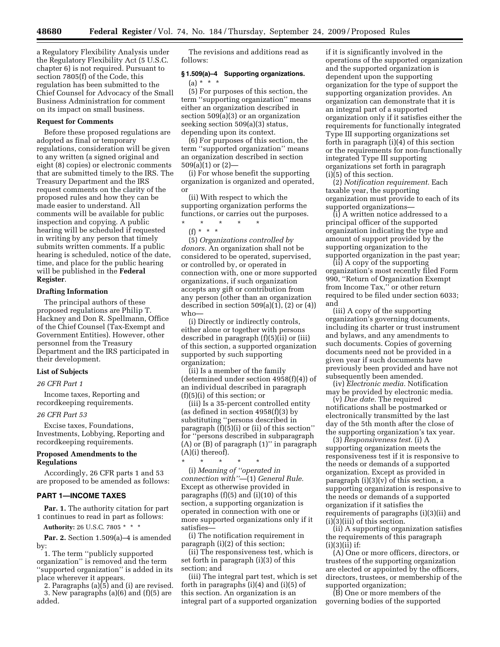a Regulatory Flexibility Analysis under the Regulatory Flexibility Act (5 U.S.C. chapter 6) is not required. Pursuant to section 7805(f) of the Code, this regulation has been submitted to the Chief Counsel for Advocacy of the Small Business Administration for comment on its impact on small business.

### **Request for Comments**

Before these proposed regulations are adopted as final or temporary regulations, consideration will be given to any written (a signed original and eight (8) copies) or electronic comments that are submitted timely to the IRS. The Treasury Department and the IRS request comments on the clarity of the proposed rules and how they can be made easier to understand. All comments will be available for public inspection and copying. A public hearing will be scheduled if requested in writing by any person that timely submits written comments. If a public hearing is scheduled, notice of the date, time, and place for the public hearing will be published in the **Federal Register**.

#### **Drafting Information**

The principal authors of these proposed regulations are Philip T. Hackney and Don R. Spellmann, Office of the Chief Counsel (Tax-Exempt and Government Entities). However, other personnel from the Treasury Department and the IRS participated in their development.

# **List of Subjects**

### *26 CFR Part 1*

Income taxes, Reporting and recordkeeping requirements.

#### *26 CFR Part 53*

Excise taxes, Foundations, Investments, Lobbying, Reporting and recordkeeping requirements.

# **Proposed Amendments to the Regulations**

Accordingly, 26 CFR parts 1 and 53 are proposed to be amended as follows:

### **PART 1—INCOME TAXES**

**Par. 1.** The authority citation for part 1 continues to read in part as follows:

**Authority:** 26 U.S.C. 7805 \* \* \*

**Par. 2.** Section 1.509(a)–4 is amended by:

1. The term ''publicly supported organization'' is removed and the term "supported organization" is added in its place wherever it appears.

2. Paragraphs (a)(5) and (i) are revised. 3. New paragraphs (a)(6) and (f)(5) are added.

The revisions and additions read as follows:

# **§ 1.509(a)–4 Supporting organizations.**   $(a) * * * *$

(5) For purposes of this section, the term ''supporting organization'' means either an organization described in section 509(a)(3) or an organization seeking section 509(a)(3) status, depending upon its context.

(6) For purposes of this section, the term ''supported organization'' means an organization described in section  $509(a)(1)$  or  $(2)$ —

(i) For whose benefit the supporting organization is organized and operated, or

(ii) With respect to which the supporting organization performs the functions, or carries out the purposes.

\* \* \* \* \* (f) \* \* \*

(5) *Organizations controlled by donors.* An organization shall not be considered to be operated, supervised, or controlled by, or operated in connection with, one or more supported organizations, if such organization accepts any gift or contribution from any person (other than an organization described in section  $509(a)(1)$ ,  $(2)$  or  $(4)$ ) who—

(i) Directly or indirectly controls, either alone or together with persons described in paragraph (f)(5)(ii) or (iii) of this section, a supported organization supported by such supporting organization;

(ii) Is a member of the family (determined under section 4958(f)(4)) of an individual described in paragraph (f)(5)(i) of this section; or

(iii) Is a 35-percent controlled entity (as defined in section 4958(f)(3) by substituting ''persons described in paragraph (f)(5)(i) or (ii) of this section'' for ''persons described in subparagraph (A) or (B) of paragraph (1)'' in paragraph  $(A)(i)$  thereof).

\* \* \* \* \* (i) *Meaning of ''operated in connection with''*—(1) *General Rule.*  Except as otherwise provided in paragraphs (f)(5) and (i)(10) of this section, a supporting organization is operated in connection with one or more supported organizations only if it satisfies—

(i) The notification requirement in paragraph (i)(2) of this section;

(ii) The responsiveness test, which is set forth in paragraph (i)(3) of this section; and

(iii) The integral part test, which is set forth in paragraphs (i)(4) and (i)(5) of this section. An organization is an integral part of a supported organization

if it is significantly involved in the operations of the supported organization and the supported organization is dependent upon the supporting organization for the type of support the supporting organization provides. An organization can demonstrate that it is an integral part of a supported organization only if it satisfies either the requirements for functionally integrated Type III supporting organizations set forth in paragraph (i)(4) of this section or the requirements for non-functionally integrated Type III supporting organizations set forth in paragraph (i)(5) of this section.

(2) *Notification requirement.* Each taxable year, the supporting organization must provide to each of its supported organizations—

(i) A written notice addressed to a principal officer of the supported organization indicating the type and amount of support provided by the supporting organization to the supported organization in the past year;

(ii) A copy of the supporting organization's most recently filed Form 990, ''Return of Organization Exempt from Income Tax,'' or other return required to be filed under section 6033; and

(iii) A copy of the supporting organization's governing documents, including its charter or trust instrument and bylaws, and any amendments to such documents. Copies of governing documents need not be provided in a given year if such documents have previously been provided and have not subsequently been amended.

(iv) *Electronic media.* Notification may be provided by electronic media.

(v) *Due date.* The required notifications shall be postmarked or electronically transmitted by the last day of the 5th month after the close of the supporting organization's tax year.

(3) *Responsiveness test.* (i) A supporting organization meets the responsiveness test if it is responsive to the needs or demands of a supported organization. Except as provided in paragraph  $(i)(3)(v)$  of this section, a supporting organization is responsive to the needs or demands of a supported organization if it satisfies the requirements of paragraphs (i)(3)(ii) and (i)(3)(iii) of this section.

(ii) A supporting organization satisfies the requirements of this paragraph  $(i)(3)(ii)$  if:

(A) One or more officers, directors, or trustees of the supporting organization are elected or appointed by the officers, directors, trustees, or membership of the supported organization;

(B) One or more members of the governing bodies of the supported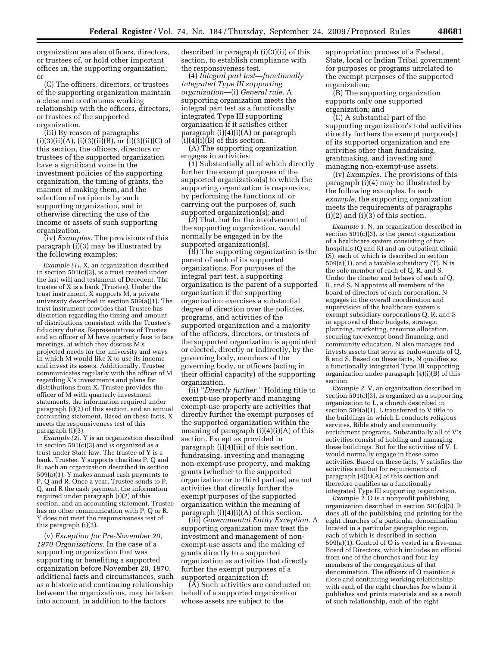organization are also officers, directors, or trustees of, or hold other important offices in, the supporting organization; or

(C) The officers, directors, or trustees of the supporting organization maintain a close and continuous working relationship with the officers, directors, or trustees of the supported organization.

(iii) By reason of paragraphs  $(i)(3)(ii)(A), (i)(3)(ii)(B), or (i)(3)(ii)(C) of$ this section, the officers, directors or trustees of the supported organization have a significant voice in the investment policies of the supporting organization, the timing of grants, the manner of making them, and the selection of recipients by such supporting organization, and in otherwise directing the use of the income or assets of such supporting organization.

(iv) *Examples.* The provisions of this paragraph (i)(3) may be illustrated by the following examples:

*Example (1).* X, an organization described in section 501(c)(3), is a trust created under the last will and testament of Decedent. The trustee of X is a bank (Trustee). Under the trust instrument, X supports M, a private university described in section 509(a)(1). The trust instrument provides that Trustee has discretion regarding the timing and amount of distributions consistent with the Trustee's fiduciary duties. Representatives of Trustee and an officer of M have quarterly face to face meetings, at which they discuss M's projected needs for the university and ways in which M would like X to use its income and invest its assets. Additionally, Trustee communicates regularly with the officer of M regarding X's investments and plans for distributions from X. Trustee provides the officer of M with quarterly investment statements, the information required under paragraph (i)(2) of this section, and an annual accounting statement. Based on these facts, X meets the responsiveness test of this paragraph (i)(3).

*Example (2).* Y is an organization described in section 501(c)(3) and is organized as a trust under State law. The trustee of Y is a bank, Trustee. Y supports charities P, Q and R, each an organization described in section 509(a)(1). Y makes annual cash payments to P, Q and R. Once a year, Trustee sends to P, Q, and R the cash payment, the information required under paragraph (i)(2) of this section, and an accounting statement. Trustee has no other communication with P, Q or R. Y does not meet the responsiveness test of this paragraph (i)(3).

(v) *Exception for Pre-November 20, 1970 Organizations.* In the case of a supporting organization that was supporting or benefiting a supported organization before November 20, 1970, additional facts and circumstances, such as a historic and continuing relationship between the organizations, may be taken into account, in addition to the factors

described in paragraph (i)(3)(ii) of this section, to establish compliance with the responsiveness test.

(4) *Integral part test—functionally integrated Type III supporting organization*—(i) *General rule.* A supporting organization meets the integral part test as a functionally integrated Type III supporting organization if it satisfies either paragraph (i)(4)(i)(A) or paragraph  $(i)(4)(i)(B)$  of this section.

(A) The supporting organization engages in activities:

(*1*) Substantially all of which directly further the exempt purposes of the supported organization(s) to which the supporting organization is responsive, by performing the functions of, or carrying out the purposes of, such supported organization(s); and

(*2*) That, but for the involvement of the supporting organization, would normally be engaged in by the supported organization(s).

(B) The supporting organization is the parent of each of its supported organizations. For purposes of the integral part test, a supporting organization is the parent of a supported organization if the supporting organization exercises a substantial degree of direction over the policies, programs, and activities of the supported organization and a majority of the officers, directors, or trustees of the supported organization is appointed or elected, directly or indirectly, by the governing body, members of the governing body, or officers (acting in their official capacity) of the supporting organization.

(ii) ''*Directly further.''* Holding title to exempt-use property and managing exempt-use property are activities that directly further the exempt purposes of the supported organization within the meaning of paragraph  $(i)(4)(i)(A)$  of this section. Except as provided in paragraph (i)(4)(iii) of this section, fundraising, investing and managing non-exempt-use property, and making grants (whether to the supported organization or to third parties) are not activities that directly further the exempt purposes of the supported organization within the meaning of paragraph  $(i)(4)(i)(A)$  of this section.

(iii) *Governmental Entity Exception.* A supporting organization may treat the investment and management of nonexempt-use assets and the making of grants directly to a supported organization as activities that directly further the exempt purposes of a supported organization if:

(A) Such activities are conducted on behalf of a supported organization whose assets are subject to the

appropriation process of a Federal, State, local or Indian Tribal government for purposes or programs unrelated to the exempt purposes of the supported organization;

(B) The supporting organization supports only one supported organization; and

(C) A substantial part of the supporting organization's total activities directly furthers the exempt purpose(s) of its supported organization and are activities other than fundraising, grantmaking, and investing and managing non-exempt-use assets.

(iv) *Examples.* The provisions of this paragraph (i)(4) may be illustrated by the following examples. In each *example,* the supporting organization meets the requirements of paragraphs  $(i)(2)$  and  $(i)(3)$  of this section.

*Example 1.* N, an organization described in section 501(c)(3), is the parent organization of a healthcare system consisting of two hospitals (Q and R) and an outpatient clinic (S), each of which is described in section 509(a)(1), and a taxable subsidiary (T). N is the sole member of each of Q, R, and S. Under the charter and bylaws of each of Q, R, and S, N appoints all members of the board of directors of each corporation. N engages in the overall coordination and supervision of the healthcare system's exempt subsidiary corporations Q, R, and S in approval of their budgets, strategic planning, marketing, resource allocation, securing tax-exempt bond financing, and community education. N also manages and invests assets that serve as endowments of Q, R and S. Based on these facts, N qualifies as a functionally integrated Type III supporting organization under paragraph  $(4)(i)(\overline{B})$  of this section.

*Example 2.* V, an organization described in section 501(c)(3), is organized as a supporting organization to L, a church described in section 509(a)(1). L transferred to V title to the buildings in which L conducts religious services, Bible study and community enrichment programs. Substantially all of V's activities consist of holding and managing these buildings. But for the activities of V, L would normally engage in these same activities. Based on these facts, V satisfies the activities and but for requirements of paragraph (4)(i)(A) of this section and therefore qualifies as a functionally integrated Type III supporting organization.

*Example 3.* O is a nonprofit publishing organization described in section 501(c)(3). It does all of the publishing and printing for the eight churches of a particular denomination located in a particular geographic region, each of which is described in section 509(a)(1). Control of O is vested in a five-man Board of Directors, which includes an official from one of the churches and four lay members of the congregations of that denomination. The officers of O maintain a close and continuing working relationship with each of the eight churches for whom it publishes and prints materials and as a result of such relationship, each of the eight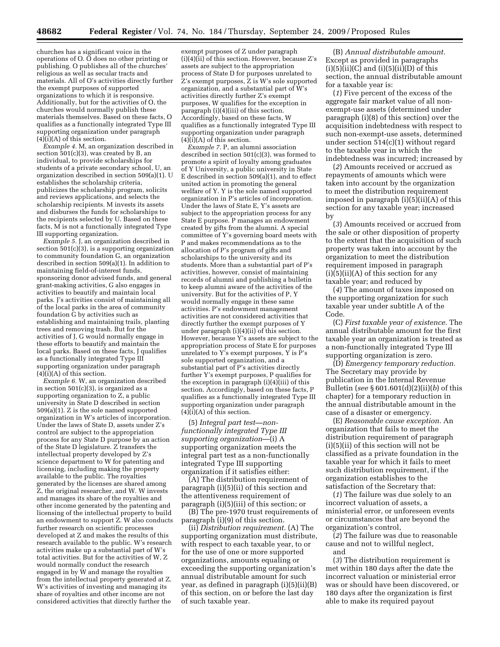churches has a significant voice in the operations of O. O does no other printing or publishing. O publishes all of the churches' religious as well as secular tracts and materials. All of O's activities directly further the exempt purposes of supported organizations to which it is responsive. Additionally, but for the activities of O, the churches would normally publish these materials themselves. Based on these facts, O qualifies as a functionally integrated Type III supporting organization under paragraph  $(4)(i)(A)$  of this section.

*Example 4.* M, an organization described in section 501(c)(3), was created by B, an individual, to provide scholarships for students of a private secondary school, U, an organization described in section 509(a)(1). U establishes the scholarship criteria, publicizes the scholarship program, solicits and reviews applications, and selects the scholarship recipients. M invests its assets and disburses the funds for scholarships to the recipients selected by U. Based on these facts,  $\overline{M}$  is not a functionally integrated Type III supporting organization.

*Example 5.* J, an organization described in section 501(c)(3), is a supporting organization to community foundation G, an organization described in section 509(a)(1). In addition to maintaining field-of-interest funds, sponsoring donor advised funds, and general grant-making activities, G also engages in activities to beautify and maintain local parks. J's activities consist of maintaining all of the local parks in the area of community foundation G by activities such as establishing and maintaining trails, planting trees and removing trash. But for the activities of J, G would normally engage in these efforts to beautify and maintain the local parks. Based on these facts, J qualifies as a functionally integrated Type III supporting organization under paragraph (4)(i)(A) of this section.

*Example 6.* W, an organization described in section 501(c)(3), is organized as a supporting organization to Z, a public university in State D described in section 509(a)(1). Z is the sole named supported organization in W's articles of incorporation. Under the laws of State D, assets under Z's control are subject to the appropriation process for any State D purpose by an action of the State D legislature. Z transfers the intellectual property developed by Z's science department to W for patenting and licensing, including making the property available to the public. The royalties generated by the licenses are shared among Z, the original researcher, and W. W invests and manages its share of the royalties and other income generated by the patenting and licensing of the intellectual property to build an endowment to support Z. W also conducts further research on scientific processes developed at Z and makes the results of this research available to the public. W's research activities make up a substantial part of W's total activities. But for the activities of W, Z would normally conduct the research engaged in by  $\dot{W}$  and manage the royalties from the intellectual property generated at Z. W's activities of investing and managing its share of royalties and other income are not considered activities that directly further the

exempt purposes of Z under paragraph (i)(4)(ii) of this section. However, because Z's assets are subject to the appropriation process of State D for purposes unrelated to Z's exempt purposes, Z is W's sole supported organization, and a substantial part of W's activities directly further Z's exempt purposes, W qualifies for the exception in paragraph  $(i)(4)(iii)$  of this section. Accordingly, based on these facts, W qualifies as a functionally integrated Type III supporting organization under paragraph  $(4)(i)(A)$  of this section.

*Example 7.* P, an alumni association described in section 501(c)(3), was formed to promote a spirit of loyalty among graduates of Y University, a public university in State E described in section  $509(a)(1)$ , and to effect united action in promoting the general welfare of Y. Y is the sole named supported organization in P's articles of incorporation. Under the laws of State E, Y's assets are subject to the appropriation process for any State E purpose. P manages an endowment created by gifts from the alumni. A special committee of Y's governing board meets with P and makes recommendations as to the allocation of P's program of gifts and scholarships to the university and its students. More than a substantial part of P's activities, however, consist of maintaining records of alumni and publishing a bulletin to keep alumni aware of the activities of the university. But for the activities of P, Y would normally engage in these same activities. P's endowment management activities are not considered activities that directly further the exempt purposes of Y under paragraph (i)(4)(ii) of this section. However, because Y's assets are subject to the appropriation process of State E for purposes unrelated to Y's exempt purposes, Y is P's sole supported organization, and a substantial part of P's activities directly further Y's exempt purposes, P qualifies for the exception in paragraph (i)(4)(iii) of this section. Accordingly, based on these facts, P qualifies as a functionally integrated Type III supporting organization under paragraph  $(4)(i)(A)$  of this section.

(5) *Integral part test—nonfunctionally integrated Type III supporting organization*—(i) A supporting organization meets the integral part test as a non-functionally integrated Type III supporting organization if it satisfies either:

(A) The distribution requirement of paragraph (i)(5)(ii) of this section and the attentiveness requirement of paragraph (i)(5)(iii) of this section; or

(B) The pre-1970 trust requirements of paragraph (i)(9) of this section.

(ii) *Distribution requirement.* (A) The supporting organization must distribute, with respect to each taxable year, to or for the use of one or more supported organizations, amounts equaling or exceeding the supporting organization's annual distributable amount for such year, as defined in paragraph (i)(5)(ii)(B) of this section, on or before the last day of such taxable year.

(B) *Annual distributable amount.*  Except as provided in paragraphs  $(i)(5)(ii)(C)$  and  $(i)(5)(ii)(D)$  of this section, the annual distributable amount for a taxable year is:

(*1*) Five percent of the excess of the aggregate fair market value of all nonexempt-use assets (determined under paragraph (i)(8) of this section) over the acquisition indebtedness with respect to such non-exempt-use assets, determined under section 514(c)(1) without regard to the taxable year in which the indebtedness was incurred; increased by

(*2*) Amounts received or accrued as repayments of amounts which were taken into account by the organization to meet the distribution requirement imposed in paragraph (i)(5)(ii)(A) of this section for any taxable year; increased by

(*3*) Amounts received or accrued from the sale or other disposition of property to the extent that the acquisition of such property was taken into account by the organization to meet the distribution requirement imposed in paragraph  $(i)(5)(ii)(A)$  of this section for any taxable year; and reduced by

(*4*) The amount of taxes imposed on the supporting organization for such taxable year under subtitle A of the Code.

(C) *First taxable year of existence.* The annual distributable amount for the first taxable year an organization is treated as a non-functionally integrated Type III supporting organization is zero.

(D) *Emergency temporary reduction.*  The Secretary may provide by publication in the Internal Revenue Bulletin (*see* § 601.601(d)(2)(ii)(*b*) of this chapter) for a temporary reduction in the annual distributable amount in the case of a disaster or emergency.

(E) *Reasonable cause exception.* An organization that fails to meet the distribution requirement of paragraph (i)(5)(ii) of this section will not be classified as a private foundation in the taxable year for which it fails to meet such distribution requirement, if the organization establishes to the satisfaction of the Secretary that:

(*1*) The failure was due solely to an incorrect valuation of assets, a ministerial error, or unforeseen events or circumstances that are beyond the organization's control,

(*2*) The failure was due to reasonable cause and not to willful neglect,

(*3*) The distribution requirement is met within 180 days after the date the incorrect valuation or ministerial error was or should have been discovered, or 180 days after the organization is first able to make its required payout

and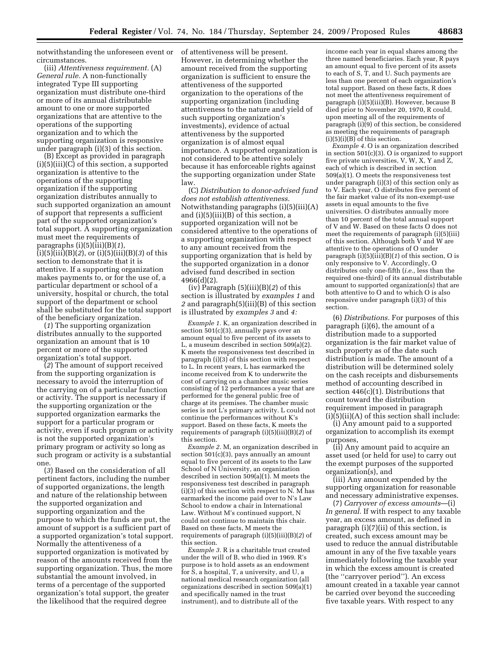notwithstanding the unforeseen event or circumstances.

(iii) *Attentiveness requirement.* (A) *General rule.* A non-functionally integrated Type III supporting organization must distribute one-third or more of its annual distributable amount to one or more supported organizations that are attentive to the operations of the supporting organization and to which the supporting organization is responsive under paragraph (i)(3) of this section.

(B) Except as provided in paragraph (i)(5)(iii)(C) of this section, a supported organization is attentive to the operations of the supporting organization if the supporting organization distributes annually to such supported organization an amount of support that represents a sufficient part of the supported organization's total support. A supporting organization must meet the requirements of paragraphs (i)(5)(iii)(B)(*1*), (i)(5)(iii)(B)(*2*), or (i)(5)(iii)(B)(*3*) of this section to demonstrate that it is attentive. If a supporting organization makes payments to, or for the use of, a particular department or school of a university, hospital or church, the total support of the department or school shall be substituted for the total support of the beneficiary organization.

(*1*) The supporting organization distributes annually to the supported organization an amount that is 10 percent or more of the supported organization's total support.

(*2*) The amount of support received from the supporting organization is necessary to avoid the interruption of the carrying on of a particular function or activity. The support is necessary if the supporting organization or the supported organization earmarks the support for a particular program or activity, even if such program or activity is not the supported organization's primary program or activity so long as such program or activity is a substantial one.

(*3*) Based on the consideration of all pertinent factors, including the number of supported organizations, the length and nature of the relationship between the supported organization and supporting organization and the purpose to which the funds are put, the amount of support is a sufficient part of a supported organization's total support. Normally the attentiveness of a supported organization is motivated by reason of the amounts received from the supporting organization. Thus, the more substantial the amount involved, in terms of a percentage of the supported organization's total support, the greater the likelihood that the required degree

of attentiveness will be present. However, in determining whether the amount received from the supporting organization is sufficient to ensure the attentiveness of the supported organization to the operations of the supporting organization (including attentiveness to the nature and yield of such supporting organization's investments), evidence of actual attentiveness by the supported organization is of almost equal importance. A supported organization is not considered to be attentive solely because it has enforceable rights against the supporting organization under State law.

(C) *Distribution to donor-advised fund does not establish attentiveness.*  Notwithstanding paragraphs (i)(5)(iii)(A) and (i)(5)(iii)(B) of this section, a supported organization will not be considered attentive to the operations of a supporting organization with respect to any amount received from the supporting organization that is held by the supported organization in a donor advised fund described in section 4966(d)(2).

(iv) Paragraph (5)(iii)(B)(*2*) of this section is illustrated by *examples 1* and *2* and paragraph(5)(iii)(B) of this section is illustrated by *examples 3* and *4:* 

*Example 1.* K, an organization described in section 501(c)(3), annually pays over an amount equal to five percent of its assets to L, a museum described in section 509(a)(2). K meets the responsiveness test described in paragraph (i)(3) of this section with respect to L. In recent years, L has earmarked the income received from K to underwrite the cost of carrying on a chamber music series consisting of 12 performances a year that are performed for the general public free of charge at its premises. The chamber music series is not L's primary activity. L could not continue the performances without K's support. Based on these facts, K meets the requirements of paragraph (i)(5)(iii)(B)(*2*) of this section.

*Example 2.* M, an organization described in section 501(c)(3), pays annually an amount equal to five percent of its assets to the Law School of N University, an organization described in section 509(a)(1). M meets the responsiveness test described in paragraph  $(i)(3)$  of this section with respect to N. M has earmarked the income paid over to N's Law School to endow a chair in International Law. Without M's continued support, N could not continue to maintain this chair. Based on these facts, M meets the requirements of paragraph (i)(5)(iii)(B)(*2*) of this section.

*Example 3.* R is a charitable trust created under the will of B, who died in 1969. R's purpose is to hold assets as an endowment for S, a hospital, T, a university, and U, a national medical research organization (all organizations described in section 509(a)(1) and specifically named in the trust instrument), and to distribute all of the

income each year in equal shares among the three named beneficiaries. Each year, R pays an amount equal to five percent of its assets to each of S, T, and U. Such payments are less than one percent of each organization's total support. Based on these facts, R does not meet the attentiveness requirement of paragraph (i)(5)(iii)(B). However, because B died prior to November 20, 1970, R could, upon meeting all of the requirements of paragraph (i)(9) of this section, be considered as meeting the requirements of paragraph  $(i)(5)(i)(B)$  of this section.

*Example 4.* O is an organization described in section 501(c)(3). O is organized to support five private universities, V, W, X, Y and Z, each of which is described in section 509(a)(1). O meets the responsiveness test under paragraph (i)(3) of this section only as to V. Each year, O distributes five percent of the fair market value of its non-exempt-use assets in equal amounts to the five universities. O distributes annually more than 10 percent of the total annual support of V and W. Based on these facts O does not meet the requirements of paragraph (i)(5)(iii) of this section. Although both V and W are attentive to the operations of O under paragraph (i)(5)(iii)(B)(*1*) of this section, O is only responsive to V. Accordingly, O distributes only one-fifth (*i.e.,* less than the required one-third) of its annual distributable amount to supported organization(s) that are both attentive to O and to which O is also responsive under paragraph (i)(3) of this section.

(6) *Distributions.* For purposes of this paragraph (i)(6), the amount of a distribution made to a supported organization is the fair market value of such property as of the date such distribution is made. The amount of a distribution will be determined solely on the cash receipts and disbursements method of accounting described in section 446(c)(1). Distributions that count toward the distribution requirement imposed in paragraph  $(i)(5)(ii)(A)$  of this section shall include:

(i) Any amount paid to a supported organization to accomplish its exempt purposes,

(ii) Any amount paid to acquire an asset used (or held for use) to carry out the exempt purposes of the supported organization(s), and

(iii) Any amount expended by the supporting organization for reasonable and necessary administrative expenses.

(7) *Carryover of excess amounts*—(i) *In general.* If with respect to any taxable year, an excess amount, as defined in paragraph (i)(7)(ii) of this section, is created, such excess amount may be used to reduce the annual distributable amount in any of the five taxable years immediately following the taxable year in which the excess amount is created (the ''carryover period''). An excess amount created in a taxable year cannot be carried over beyond the succeeding five taxable years. With respect to any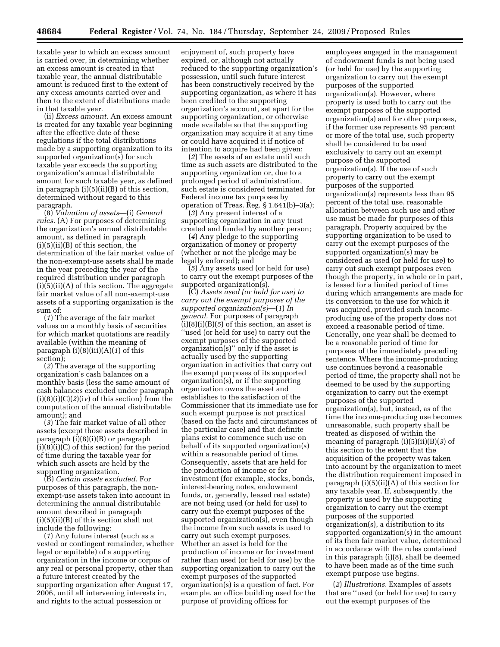taxable year to which an excess amount is carried over, in determining whether an excess amount is created in that taxable year, the annual distributable amount is reduced first to the extent of any excess amounts carried over and then to the extent of distributions made in that taxable year.

(ii) *Excess amount.* An excess amount is created for any taxable year beginning after the effective date of these regulations if the total distributions made by a supporting organization to its supported organization(s) for such taxable year exceeds the supporting organization's annual distributable amount for such taxable year, as defined in paragraph (i)(5)(ii)(B) of this section, determined without regard to this paragraph.

(8) *Valuation of assets*—(i) *General rules.* (A) For purposes of determining the organization's annual distributable amount, as defined in paragraph  $(i)(5)(ii)(B)$  of this section, the determination of the fair market value of the non-exempt-use assets shall be made in the year preceding the year of the required distribution under paragraph (i)(5)(ii)(A) of this section. The aggregate fair market value of all non-exempt-use assets of a supporting organization is the sum of:

(*1*) The average of the fair market values on a monthly basis of securities for which market quotations are readily available (within the meaning of paragraph (i)(8)(iii)(A)(*1*) of this section);

(*2*) The average of the supporting organization's cash balances on a monthly basis (less the same amount of cash balances excluded under paragraph  $(i)(8)(i)(C)(2)(iv)$  of this section) from the computation of the annual distributable amount); and

(*3*) The fair market value of all other assets (except those assets described in paragraph (i)(8)(i)(B) or paragraph (i)(8)(i)(C) of this section) for the period of time during the taxable year for which such assets are held by the supporting organization.

(B) *Certain assets excluded.* For purposes of this paragraph, the nonexempt-use assets taken into account in determining the annual distributable amount described in paragraph (i)(5)(ii)(B) of this section shall not include the following:

(*1*) Any future interest (such as a vested or contingent remainder, whether legal or equitable) of a supporting organization in the income or corpus of any real or personal property, other than a future interest created by the supporting organization after August 17, 2006, until all intervening interests in, and rights to the actual possession or

enjoyment of, such property have expired, or, although not actually reduced to the supporting organization's possession, until such future interest has been constructively received by the supporting organization, as where it has been credited to the supporting organization's account, set apart for the supporting organization, or otherwise made available so that the supporting organization may acquire it at any time or could have acquired it if notice of intention to acquire had been given;

(*2*) The assets of an estate until such time as such assets are distributed to the supporting organization or, due to a prolonged period of administration, such estate is considered terminated for Federal income tax purposes by operation of Treas. Reg. § 1.641(b)–3(a);

(*3*) Any present interest of a supporting organization in any trust created and funded by another person;

(*4*) Any pledge to the supporting organization of money or property (whether or not the pledge may be legally enforced); and

(*5*) Any assets used (or held for use) to carry out the exempt purposes of the supported organization(s).

(C) *Assets used (or held for use) to carry out the exempt purposes of the supported organization(s)*—(*1*) *In general.* For purposes of paragraph  $(i)(8)(i)(B)(5)$  of this section, an asset is ''used (or held for use) to carry out the exempt purposes of the supported organization(s)'' only if the asset is actually used by the supporting organization in activities that carry out the exempt purposes of its supported organization(s), or if the supporting organization owns the asset and establishes to the satisfaction of the Commissioner that its immediate use for such exempt purpose is not practical (based on the facts and circumstances of the particular case) and that definite plans exist to commence such use on behalf of its supported organization(s) within a reasonable period of time. Consequently, assets that are held for the production of income or for investment (for example, stocks, bonds, interest-bearing notes, endowment funds, or, generally, leased real estate) are not being used (or held for use) to carry out the exempt purposes of the supported organization(s), even though the income from such assets is used to carry out such exempt purposes. Whether an asset is held for the production of income or for investment rather than used (or held for use) by the supporting organization to carry out the exempt purposes of the supported organization(s) is a question of fact. For example, an office building used for the purpose of providing offices for

employees engaged in the management of endowment funds is not being used (or held for use) by the supporting organization to carry out the exempt purposes of the supported organization(s). However, where property is used both to carry out the exempt purposes of the supported organization(s) and for other purposes, if the former use represents 95 percent or more of the total use, such property shall be considered to be used exclusively to carry out an exempt purpose of the supported organization(s). If the use of such property to carry out the exempt purposes of the supported organization(s) represents less than 95 percent of the total use, reasonable allocation between such use and other use must be made for purposes of this paragraph. Property acquired by the supporting organization to be used to carry out the exempt purposes of the supported organization(s) may be considered as used (or held for use) to carry out such exempt purposes even though the property, in whole or in part, is leased for a limited period of time during which arrangements are made for its conversion to the use for which it was acquired, provided such incomeproducing use of the property does not exceed a reasonable period of time. Generally, one year shall be deemed to be a reasonable period of time for purposes of the immediately preceding sentence. Where the income-producing use continues beyond a reasonable period of time, the property shall not be deemed to be used by the supporting organization to carry out the exempt purposes of the supported organization(s), but, instead, as of the time the income-producing use becomes unreasonable, such property shall be treated as disposed of within the meaning of paragraph (i)(5)(ii)(B)(*3*) of this section to the extent that the acquisition of the property was taken into account by the organization to meet the distribution requirement imposed in paragraph (i)(5)(ii)(A) of this section for any taxable year. If, subsequently, the property is used by the supporting organization to carry out the exempt purposes of the supported organization(s), a distribution to its supported organization(s) in the amount of its then fair market value, determined in accordance with the rules contained in this paragraph (i)(8), shall be deemed to have been made as of the time such exempt purpose use begins.

(*2*) *Illustrations.* Examples of assets that are ''used (or held for use) to carry out the exempt purposes of the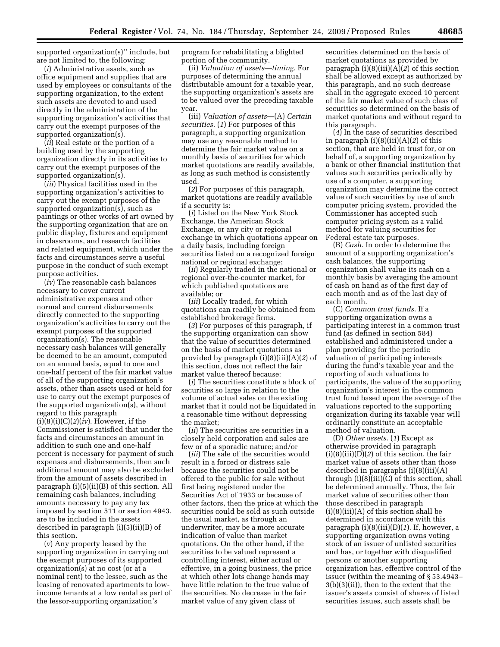supported organization(s)'' include, but are not limited to, the following:

(*i*) Administrative assets, such as office equipment and supplies that are used by employees or consultants of the supporting organization, to the extent such assets are devoted to and used directly in the administration of the supporting organization's activities that carry out the exempt purposes of the supported organization(s).

(*ii*) Real estate or the portion of a building used by the supporting organization directly in its activities to carry out the exempt purposes of the supported organization(s).

(*iii*) Physical facilities used in the supporting organization's activities to carry out the exempt purposes of the supported organization(s), such as paintings or other works of art owned by the supporting organization that are on public display, fixtures and equipment in classrooms, and research facilities and related equipment, which under the facts and circumstances serve a useful purpose in the conduct of such exempt purpose activities.

(*iv*) The reasonable cash balances necessary to cover current administrative expenses and other normal and current disbursements directly connected to the supporting organization's activities to carry out the exempt purposes of the supported organization(s). The reasonable necessary cash balances will generally be deemed to be an amount, computed on an annual basis, equal to one and one-half percent of the fair market value of all of the supporting organization's assets, other than assets used or held for use to carry out the exempt purposes of the supported organization(s), without regard to this paragraph (i)(8)(i)(C)(*2*)(*iv*). However, if the Commissioner is satisfied that under the facts and circumstances an amount in addition to such one and one-half percent is necessary for payment of such expenses and disbursements, then such additional amount may also be excluded from the amount of assets described in paragraph (i)(5)(ii)(B) of this section. All remaining cash balances, including amounts necessary to pay any tax imposed by section 511 or section 4943, are to be included in the assets described in paragraph (i)(5)(ii)(B) of this section.

(*v*) Any property leased by the supporting organization in carrying out the exempt purposes of its supported organization(s) at no cost (or at a nominal rent) to the lessee, such as the leasing of renovated apartments to lowincome tenants at a low rental as part of the lessor-supporting organization's

program for rehabilitating a blighted portion of the community.

(ii) *Valuation of assets—timing.* For purposes of determining the annual distributable amount for a taxable year, the supporting organization's assets are to be valued over the preceding taxable year.

(iii) *Valuation of assets*—(A) *Certain securities.* (*1*) For purposes of this paragraph, a supporting organization may use any reasonable method to determine the fair market value on a monthly basis of securities for which market quotations are readily available, as long as such method is consistently used.

(*2*) For purposes of this paragraph, market quotations are readily available if a security is:

(*i*) Listed on the New York Stock Exchange, the American Stock Exchange, or any city or regional exchange in which quotations appear on a daily basis, including foreign securities listed on a recognized foreign national or regional exchange;

(*ii*) Regularly traded in the national or regional over-the-counter market, for which published quotations are available; or

(*iii*) Locally traded, for which quotations can readily be obtained from established brokerage firms.

(*3*) For purposes of this paragraph, if the supporting organization can show that the value of securities determined on the basis of market quotations as provided by paragraph (i)(8)(iii)(A)(*2*) of this section, does not reflect the fair market value thereof because:

(*i*) The securities constitute a block of securities so large in relation to the volume of actual sales on the existing market that it could not be liquidated in a reasonable time without depressing the market;

(*ii*) The securities are securities in a closely held corporation and sales are few or of a sporadic nature; and/or

(*iii*) The sale of the securities would result in a forced or distress sale because the securities could not be offered to the public for sale without first being registered under the Securities Act of 1933 or because of other factors, then the price at which the securities could be sold as such outside the usual market, as through an underwriter, may be a more accurate indication of value than market quotations. On the other hand, if the securities to be valued represent a controlling interest, either actual or effective, in a going business, the price at which other lots change hands may have little relation to the true value of the securities. No decrease in the fair market value of any given class of

securities determined on the basis of market quotations as provided by paragraph (i)(8)(iii)(A)(*2*) of this section shall be allowed except as authorized by this paragraph, and no such decrease shall in the aggregate exceed 10 percent of the fair market value of such class of securities so determined on the basis of market quotations and without regard to this paragraph.

(*4*) In the case of securities described in paragraph (i)(8)(iii)(A)(*2*) of this section, that are held in trust for, or on behalf of, a supporting organization by a bank or other financial institution that values such securities periodically by use of a computer, a supporting organization may determine the correct value of such securities by use of such computer pricing system, provided the Commissioner has accepted such computer pricing system as a valid method for valuing securities for Federal estate tax purposes.

(B) *Cash.* In order to determine the amount of a supporting organization's cash balances, the supporting organization shall value its cash on a monthly basis by averaging the amount of cash on hand as of the first day of each month and as of the last day of each month.

(C) *Common trust funds.* If a supporting organization owns a participating interest in a common trust fund (as defined in section 584) established and administered under a plan providing for the periodic valuation of participating interests during the fund's taxable year and the reporting of such valuations to participants, the value of the supporting organization's interest in the common trust fund based upon the average of the valuations reported to the supporting organization during its taxable year will ordinarily constitute an acceptable method of valuation.

(D) *Other assets.* (*1*) Except as otherwise provided in paragraph (i)(8)(iii)(D)(*2*) of this section, the fair market value of assets other than those described in paragraphs (i)(8)(iii)(A) through (i)(8)(iii)(C) of this section, shall be determined annually. Thus, the fair market value of securities other than those described in paragraph  $(i)(8)(iii)(A)$  of this section shall be determined in accordance with this paragraph (i)(8)(iii)(D)(*1*). If, however, a supporting organization owns voting stock of an issuer of unlisted securities and has, or together with disqualified persons or another supporting organization has, effective control of the issuer (within the meaning of § 53.4943– 3(b)(3)(ii)), then to the extent that the issuer's assets consist of shares of listed securities issues, such assets shall be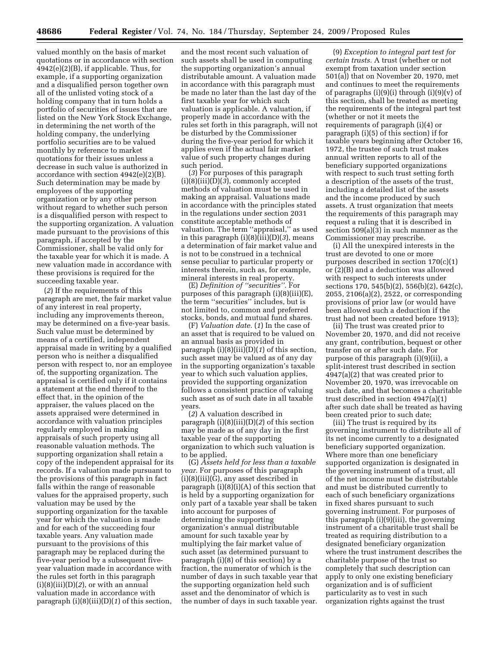valued monthly on the basis of market quotations or in accordance with section  $4942(e)(2)(B)$ , if applicable. Thus, for example, if a supporting organization and a disqualified person together own all of the unlisted voting stock of a holding company that in turn holds a portfolio of securities of issues that are listed on the New York Stock Exchange, in determining the net worth of the holding company, the underlying portfolio securities are to be valued monthly by reference to market quotations for their issues unless a decrease in such value is authorized in accordance with section 4942(e)(2)(B). Such determination may be made by employees of the supporting organization or by any other person without regard to whether such person is a disqualified person with respect to the supporting organization. A valuation made pursuant to the provisions of this paragraph, if accepted by the Commissioner, shall be valid only for the taxable year for which it is made. A new valuation made in accordance with these provisions is required for the succeeding taxable year.

(*2*) If the requirements of this paragraph are met, the fair market value of any interest in real property, including any improvements thereon, may be determined on a five-year basis. Such value must be determined by means of a certified, independent appraisal made in writing by a qualified person who is neither a disqualified person with respect to, nor an employee of, the supporting organization. The appraisal is certified only if it contains a statement at the end thereof to the effect that, in the opinion of the appraiser, the values placed on the assets appraised were determined in accordance with valuation principles regularly employed in making appraisals of such property using all reasonable valuation methods. The supporting organization shall retain a copy of the independent appraisal for its records. If a valuation made pursuant to the provisions of this paragraph in fact falls within the range of reasonable values for the appraised property, such valuation may be used by the supporting organization for the taxable year for which the valuation is made and for each of the succeeding four taxable years. Any valuation made pursuant to the provisions of this paragraph may be replaced during the five-year period by a subsequent fiveyear valuation made in accordance with the rules set forth in this paragraph  $(i)(8)(iii)(D)(2)$ , or with an annual valuation made in accordance with paragraph (i)(8)(iii)(D)(*1*) of this section,

and the most recent such valuation of such assets shall be used in computing the supporting organization's annual distributable amount. A valuation made in accordance with this paragraph must be made no later than the last day of the first taxable year for which such valuation is applicable. A valuation, if properly made in accordance with the rules set forth in this paragraph, will not be disturbed by the Commissioner during the five-year period for which it applies even if the actual fair market value of such property changes during such period.

(*3*) For purposes of this paragraph (i)(8)(iii)(D)(*3*), commonly accepted methods of valuation must be used in making an appraisal. Valuations made in accordance with the principles stated in the regulations under section 2031 constitute acceptable methods of valuation. The term ''appraisal,'' as used in this paragraph  $(i)(8)(iii)(D)(3)$ , means a determination of fair market value and is not to be construed in a technical sense peculiar to particular property or interests therein, such as, for example, mineral interests in real property.

(E) *Definition of ''securities''.* For purposes of this paragraph (i)(8)(iii)(E), the term ''securities'' includes, but is not limited to, common and preferred stocks, bonds, and mutual fund shares.

(F) *Valuation date.* (*1*) In the case of an asset that is required to be valued on an annual basis as provided in paragraph (i)(8)(iii)(D)(*1*) of this section, such asset may be valued as of any day in the supporting organization's taxable year to which such valuation applies, provided the supporting organization follows a consistent practice of valuing such asset as of such date in all taxable years.

(*2*) A valuation described in paragraph (i)(8)(iii)(D)(*2*) of this section may be made as of any day in the first taxable year of the supporting organization to which such valuation is to be applied.

(G) *Assets held for less than a taxable year.* For purposes of this paragraph (i)(8)(iii)(G), any asset described in paragraph (i)(8)(i)(A) of this section that is held by a supporting organization for only part of a taxable year shall be taken into account for purposes of determining the supporting organization's annual distributable amount for such taxable year by multiplying the fair market value of such asset (as determined pursuant to paragraph (i)(8) of this section) by a fraction, the numerator of which is the number of days in such taxable year that the supporting organization held such asset and the denominator of which is the number of days in such taxable year.

(9) *Exception to integral part test for certain trusts.* A trust (whether or not exempt from taxation under section 501(a)) that on November 20, 1970, met and continues to meet the requirements of paragraphs  $(i)(9)(i)$  through  $(i)(9)(v)$  of this section, shall be treated as meeting the requirements of the integral part test (whether or not it meets the requirements of paragraph (i)(4) or paragraph (i)(5) of this section) if for taxable years beginning after October 16, 1972, the trustee of such trust makes annual written reports to all of the beneficiary supported organizations with respect to such trust setting forth a description of the assets of the trust, including a detailed list of the assets and the income produced by such assets. A trust organization that meets the requirements of this paragraph may request a ruling that it is described in section 509(a)(3) in such manner as the Commissioner may prescribe.

(i) All the unexpired interests in the trust are devoted to one or more purposes described in section 170(c)(1) or (2)(B) and a deduction was allowed with respect to such interests under sections 170, 545(b)(2), 556(b)(2), 642(c), 2055, 2106(a)(2), 2522, or corresponding provisions of prior law (or would have been allowed such a deduction if the trust had not been created before 1913);

(ii) The trust was created prior to November 20, 1970, and did not receive any grant, contribution, bequest or other transfer on or after such date. For purpose of this paragraph (i)(9)(ii), a split-interest trust described in section 4947(a)(2) that was created prior to November 20, 1970, was irrevocable on such date, and that becomes a charitable trust described in section 4947(a)(1) after such date shall be treated as having been created prior to such date;

(iii) The trust is required by its governing instrument to distribute all of its net income currently to a designated beneficiary supported organization. Where more than one beneficiary supported organization is designated in the governing instrument of a trust, all of the net income must be distributable and must be distributed currently to each of such beneficiary organizations in fixed shares pursuant to such governing instrument. For purposes of this paragraph (i)(9)(iii), the governing instrument of a charitable trust shall be treated as requiring distribution to a designated beneficiary organization where the trust instrument describes the charitable purpose of the trust so completely that such description can apply to only one existing beneficiary organization and is of sufficient particularity as to vest in such organization rights against the trust